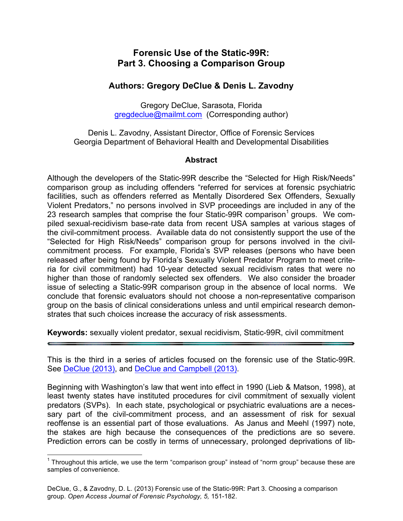# **Forensic Use of the Static-99R: Part 3. Choosing a Comparison Group**

# **Authors: Gregory DeClue & Denis L. Zavodny**

Gregory DeClue, Sarasota, Florida [gregdeclue@mailmt.com](http://gregdeclue.myakkatech.com/) (Corresponding author)

Denis L. Zavodny, Assistant Director, Office of Forensic Services Georgia Department of Behavioral Health and Developmental Disabilities

## **Abstract**

Although the developers of the Static-99R describe the "Selected for High Risk/Needs" comparison group as including offenders "referred for services at forensic psychiatric facilities, such as offenders referred as Mentally Disordered Sex Offenders, Sexually Violent Predators," no persons involved in SVP proceedings are included in any of the 23 research samples that comprise the four Static-99R comparison<sup>1</sup> groups. We compiled sexual-recidivism base-rate data from recent USA samples at various stages of the civil-commitment process. Available data do not consistently support the use of the "Selected for High Risk/Needs" comparison group for persons involved in the civilcommitment process. For example, Florida's SVP releases (persons who have been released after being found by Florida's Sexually Violent Predator Program to meet criteria for civil commitment) had 10-year detected sexual recidivism rates that were no higher than those of randomly selected sex offenders. We also consider the broader issue of selecting a Static-99R comparison group in the absence of local norms. We conclude that forensic evaluators should not choose a non-representative comparison group on the basis of clinical considerations unless and until empirical research demonstrates that such choices increase the accuracy of risk assessments.

**Keywords:** sexually violent predator, sexual recidivism, Static-99R, civil commitment

This is the third in a series of articles focused on the forensic use of the Static-99R. See [DeClue \(2013\)](http://forensicpsychologyunbound.ws/OAJFP/Volume_5__2013_files/DeClue%202013.pdf), and [DeClue and Campbell \(2013\)](http://forensicpsychologyunbound.ws/OAJFP/Volume_5__2013_files/DeClue%20%26%20Campbell%202013.pdf).

Beginning with Washington's law that went into effect in 1990 (Lieb & Matson, 1998), at least twenty states have instituted procedures for civil commitment of sexually violent predators (SVPs). In each state, psychological or psychiatric evaluations are a necessary part of the civil-commitment process, and an assessment of risk for sexual reoffense is an essential part of those evaluations. As Janus and Meehl (1997) note, the stakes are high because the consequences of the predictions are so severe. Prediction errors can be costly in terms of unnecessary, prolonged deprivations of lib-

 $1$  Throughout this article, we use the term "comparison group" instead of "norm group" because these are samples of convenience.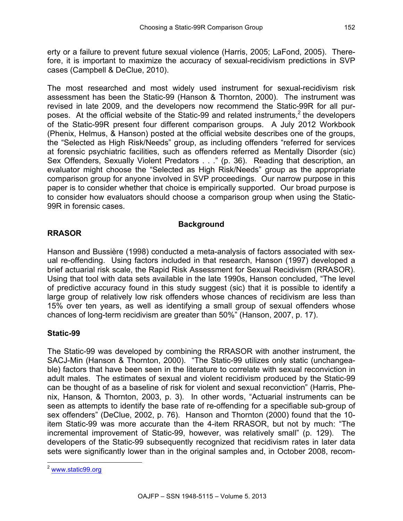erty or a failure to prevent future sexual violence (Harris, 2005; LaFond, 2005). Therefore, it is important to maximize the accuracy of sexual-recidivism predictions in SVP cases (Campbell & DeClue, 2010).

The most researched and most widely used instrument for sexual-recidivism risk assessment has been the Static-99 (Hanson & Thornton, 2000). The instrument was revised in late 2009, and the developers now recommend the Static-99R for all purposes. At the official website of the Static-99 and related instruments,<sup>2</sup> the developers of the Static-99R present four different comparison groups. A July 2012 Workbook (Phenix, Helmus, & Hanson) posted at the official website describes one of the groups, the "Selected as High Risk/Needs" group, as including offenders "referred for services at forensic psychiatric facilities, such as offenders referred as Mentally Disorder (sic) Sex Offenders, Sexually Violent Predators . . . " (p. 36). Reading that description, an evaluator might choose the "Selected as High Risk/Needs" group as the appropriate comparison group for anyone involved in SVP proceedings. Our narrow purpose in this paper is to consider whether that choice is empirically supported. Our broad purpose is to consider how evaluators should choose a comparison group when using the Static-99R in forensic cases.

# **Background**

# **RRASOR**

Hanson and Bussière (1998) conducted a meta-analysis of factors associated with sexual re-offending. Using factors included in that research, Hanson (1997) developed a brief actuarial risk scale, the Rapid Risk Assessment for Sexual Recidivism (RRASOR). Using that tool with data sets available in the late 1990s, Hanson concluded, "The level of predictive accuracy found in this study suggest (sic) that it is possible to identify a large group of relatively low risk offenders whose chances of recidivism are less than 15% over ten years, as well as identifying a small group of sexual offenders whose chances of long-term recidivism are greater than 50%" (Hanson, 2007, p. 17).

# **Static-99**

The Static-99 was developed by combining the RRASOR with another instrument, the SACJ-Min (Hanson & Thornton, 2000). "The Static-99 utilizes only static (unchangeable) factors that have been seen in the literature to correlate with sexual reconviction in adult males. The estimates of sexual and violent recidivism produced by the Static-99 can be thought of as a baseline of risk for violent and sexual reconviction" (Harris, Phenix, Hanson, & Thornton, 2003, p. 3). In other words, "Actuarial instruments can be seen as attempts to identify the base rate of re-offending for a specifiable sub-group of sex offenders" (DeClue, 2002, p. 76). Hanson and Thornton (2000) found that the 10 item Static-99 was more accurate than the 4-item RRASOR, but not by much: "The incremental improvement of Static-99, however, was relatively small" (p. 129). The developers of the Static-99 subsequently recognized that recidivism rates in later data sets were significantly lower than in the original samples and, in October 2008, recom-

 <sup>2</sup> [www.static99.org](http://www.static99.org)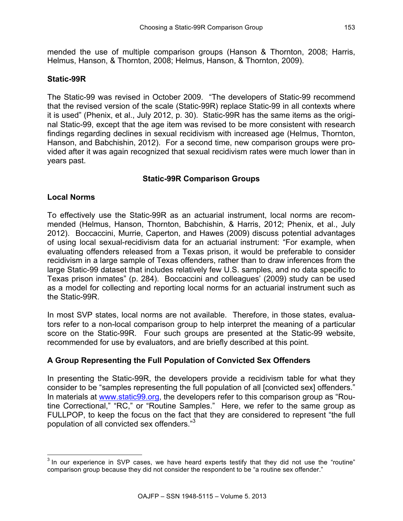mended the use of multiple comparison groups (Hanson & Thornton, 2008; Harris, Helmus, Hanson, & Thornton, 2008; Helmus, Hanson, & Thornton, 2009).

#### **Static-99R**

The Static-99 was revised in October 2009. "The developers of Static-99 recommend that the revised version of the scale (Static-99R) replace Static-99 in all contexts where it is used" (Phenix, et al., July 2012, p. 30). Static-99R has the same items as the original Static-99, except that the age item was revised to be more consistent with research findings regarding declines in sexual recidivism with increased age (Helmus, Thornton, Hanson, and Babchishin, 2012). For a second time, new comparison groups were provided after it was again recognized that sexual recidivism rates were much lower than in years past.

## **Static-99R Comparison Groups**

#### **Local Norms**

To effectively use the Static-99R as an actuarial instrument, local norms are recommended (Helmus, Hanson, Thornton, Babchishin, & Harris, 2012; Phenix, et al., July 2012). Boccaccini, Murrie, Caperton, and Hawes (2009) discuss potential advantages of using local sexual-recidivism data for an actuarial instrument: "For example, when evaluating offenders released from a Texas prison, it would be preferable to consider recidivism in a large sample of Texas offenders, rather than to draw inferences from the large Static-99 dataset that includes relatively few U.S. samples, and no data specific to Texas prison inmates" (p. 284). Boccaccini and colleagues' (2009) study can be used as a model for collecting and reporting local norms for an actuarial instrument such as the Static-99R.

In most SVP states, local norms are not available. Therefore, in those states, evaluators refer to a non-local comparison group to help interpret the meaning of a particular score on the Static-99R. Four such groups are presented at the Static-99 website, recommended for use by evaluators, and are briefly described at this point.

## **A Group Representing the Full Population of Convicted Sex Offenders**

In presenting the Static-99R, the developers provide a recidivism table for what they consider to be "samples representing the full population of all [convicted sex] offenders." In materials at [www.static99.org,](http://www.static99.org) the developers refer to this comparison group as "Routine Correctional," "RC," or "Routine Samples." Here, we refer to the same group as FULLPOP, to keep the focus on the fact that they are considered to represent "the full population of all convicted sex offenders."3

 $3$  In our experience in SVP cases, we have heard experts testify that they did not use the "routine" comparison group because they did not consider the respondent to be "a routine sex offender."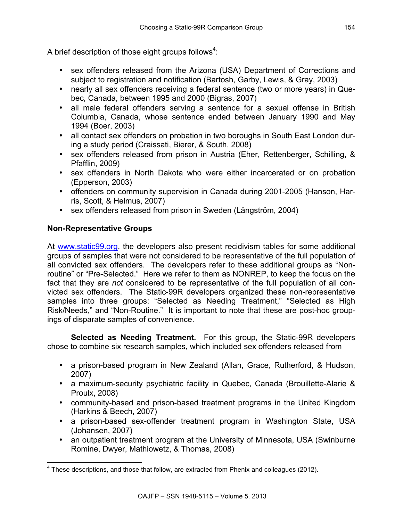A brief description of those eight groups follows<sup>4</sup>:

- sex offenders released from the Arizona (USA) Department of Corrections and subject to registration and notification (Bartosh, Garby, Lewis, & Gray, 2003)
- nearly all sex offenders receiving a federal sentence (two or more years) in Quebec, Canada, between 1995 and 2000 (Bigras, 2007)
- all male federal offenders serving a sentence for a sexual offense in British Columbia, Canada, whose sentence ended between January 1990 and May 1994 (Boer, 2003)
- all contact sex offenders on probation in two boroughs in South East London during a study period (Craissati, Bierer, & South, 2008)
- sex offenders released from prison in Austria (Eher, Rettenberger, Schilling, & Pfafflin, 2009)
- sex offenders in North Dakota who were either incarcerated or on probation (Epperson, 2003)
- offenders on community supervision in Canada during 2001-2005 (Hanson, Harris, Scott, & Helmus, 2007)
- sex offenders released from prison in Sweden (Långström, 2004)

# **Non-Representative Groups**

A[t www.static99.org](http://www.static99.org), the developers also present recidivism tables for some additional groups of samples that were not considered to be representative of the full population of all convicted sex offenders. The developers refer to these additional groups as "Nonroutine" or "Pre-Selected." Here we refer to them as NONREP, to keep the focus on the fact that they are *not* considered to be representative of the full population of all convicted sex offenders. The Static-99R developers organized these non-representative samples into three groups: "Selected as Needing Treatment," "Selected as High Risk/Needs," and "Non-Routine." It is important to note that these are post-hoc groupings of disparate samples of convenience.

**Selected as Needing Treatment.** For this group, the Static-99R developers chose to combine six research samples, which included sex offenders released from

- a prison-based program in New Zealand (Allan, Grace, Rutherford, & Hudson, 2007)
- a maximum-security psychiatric facility in Quebec, Canada (Brouillette-Alarie & Proulx, 2008)
- community-based and prison-based treatment programs in the United Kingdom (Harkins & Beech, 2007)
- a prison-based sex-offender treatment program in Washington State, USA (Johansen, 2007)
- an outpatient treatment program at the University of Minnesota, USA (Swinburne Romine, Dwyer, Mathiowetz, & Thomas, 2008)

 $4$  These descriptions, and those that follow, are extracted from Phenix and colleagues (2012).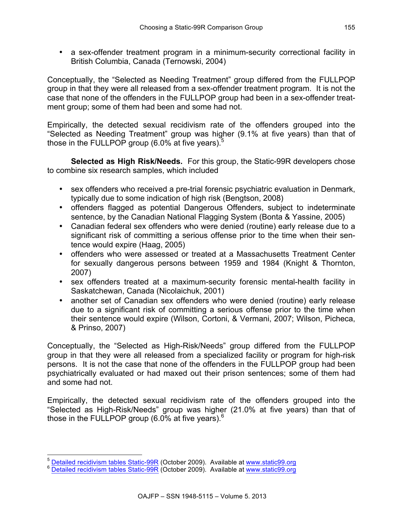• a sex-offender treatment program in a minimum-security correctional facility in British Columbia, Canada (Ternowski, 2004)

Conceptually, the "Selected as Needing Treatment" group differed from the FULLPOP group in that they were all released from a sex-offender treatment program. It is not the case that none of the offenders in the FULLPOP group had been in a sex-offender treatment group; some of them had been and some had not.

Empirically, the detected sexual recidivism rate of the offenders grouped into the "Selected as Needing Treatment" group was higher (9.1% at five years) than that of those in the FULLPOP group (6.0% at five years). $5$ 

**Selected as High Risk/Needs.** For this group, the Static-99R developers chose to combine six research samples, which included

- sex offenders who received a pre-trial forensic psychiatric evaluation in Denmark, typically due to some indication of high risk (Bengtson, 2008)
- offenders flagged as potential Dangerous Offenders, subject to indeterminate sentence, by the Canadian National Flagging System (Bonta & Yassine, 2005)
- Canadian federal sex offenders who were denied (routine) early release due to a significant risk of committing a serious offense prior to the time when their sentence would expire (Haag, 2005)
- offenders who were assessed or treated at a Massachusetts Treatment Center for sexually dangerous persons between 1959 and 1984 (Knight & Thornton, 2007)
- sex offenders treated at a maximum-security forensic mental-health facility in Saskatchewan, Canada (Nicolaichuk, 2001)
- another set of Canadian sex offenders who were denied (routine) early release due to a significant risk of committing a serious offense prior to the time when their sentence would expire (Wilson, Cortoni, & Vermani, 2007; Wilson, Picheca, & Prinso, 2007)

Conceptually, the "Selected as High-Risk/Needs" group differed from the FULLPOP group in that they were all released from a specialized facility or program for high-risk persons. It is not the case that none of the offenders in the FULLPOP group had been psychiatrically evaluated or had maxed out their prison sentences; some of them had and some had not.

Empirically, the detected sexual recidivism rate of the offenders grouped into the "Selected as High-Risk/Needs" group was higher (21.0% at five years) than that of those in the FULLPOP group  $(6.0\%$  at five years).<sup>6</sup>

 $^5$  Detailed recidivism tables Static-99R (October 2009). Available [at www.static99.org](http://www.static99.org) 6 [Detailed recidivism tables Static-99R](http://www.static99.org/pdfdocs/detailed_recid_tables_static99r_2009-11-15.pdf) (October 2009). Available at www.static99.org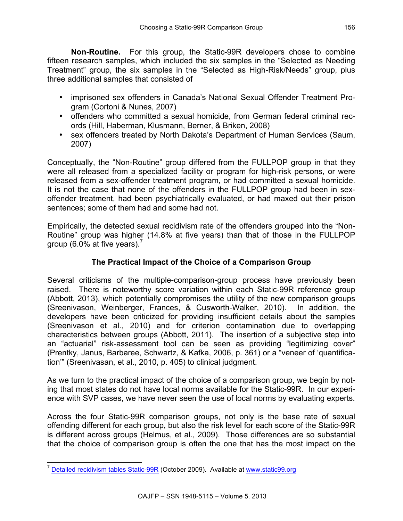**Non-Routine.** For this group, the Static-99R developers chose to combine fifteen research samples, which included the six samples in the "Selected as Needing Treatment" group, the six samples in the "Selected as High-Risk/Needs" group, plus three additional samples that consisted of

- imprisoned sex offenders in Canada's National Sexual Offender Treatment Program (Cortoni & Nunes, 2007)
- offenders who committed a sexual homicide, from German federal criminal records (Hill, Haberman, Klusmann, Berner, & Briken, 2008)
- sex offenders treated by North Dakota's Department of Human Services (Saum, 2007)

Conceptually, the "Non-Routine" group differed from the FULLPOP group in that they were all released from a specialized facility or program for high-risk persons, or were released from a sex-offender treatment program, or had committed a sexual homicide. It is not the case that none of the offenders in the FULLPOP group had been in sexoffender treatment, had been psychiatrically evaluated, or had maxed out their prison sentences; some of them had and some had not.

Empirically, the detected sexual recidivism rate of the offenders grouped into the "Non-Routine" group was higher (14.8% at five years) than that of those in the FULLPOP group (6.0% at five years).<sup>7</sup>

# **The Practical Impact of the Choice of a Comparison Group**

Several criticisms of the multiple-comparison-group process have previously been raised. There is noteworthy score variation within each Static-99R reference group (Abbott, 2013), which potentially compromises the utility of the new comparison groups (Sreenivason, Weinberger, Frances, & Cusworth-Walker, 2010). In addition, the developers have been criticized for providing insufficient details about the samples (Sreenivason et al., 2010) and for criterion contamination due to overlapping characteristics between groups (Abbott, 2011). The insertion of a subjective step into an "actuarial" risk-assessment tool can be seen as providing "legitimizing cover" (Prentky, Janus, Barbaree, Schwartz, & Kafka, 2006, p. 361) or a "veneer of 'quantification'" (Sreenivasan, et al., 2010, p. 405) to clinical judgment.

As we turn to the practical impact of the choice of a comparison group, we begin by noting that most states do not have local norms available for the Static-99R. In our experience with SVP cases, we have never seen the use of local norms by evaluating experts.

Across the four Static-99R comparison groups, not only is the base rate of sexual offending different for each group, but also the risk level for each score of the Static-99R is different across groups (Helmus, et al., 2009). Those differences are so substantial that the choice of comparison group is often the one that has the most impact on the

 $<sup>7</sup>$  [Detailed recidivism tables Static-99R](http://www.static99.org/pdfdocs/detailed_recid_tables_static99r_2009-11-15.pdf) (October 2009). Available [at www.static99.org](http://www.static99.org)</sup>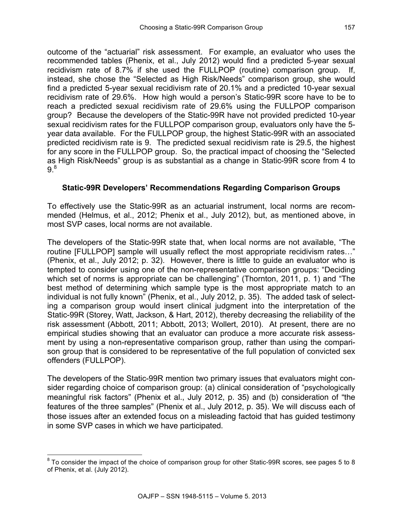outcome of the "actuarial" risk assessment. For example, an evaluator who uses the recommended tables (Phenix, et al., July 2012) would find a predicted 5-year sexual recidivism rate of 8.7% if she used the FULLPOP (routine) comparison group. If, instead, she chose the "Selected as High Risk/Needs" comparison group, she would find a predicted 5-year sexual recidivism rate of 20.1% and a predicted 10-year sexual recidivism rate of 29.6%. How high would a person's Static-99R score have to be to reach a predicted sexual recidivism rate of 29.6% using the FULLPOP comparison group? Because the developers of the Static-99R have not provided predicted 10-year sexual recidivism rates for the FULLPOP comparison group, evaluators only have the 5 year data available. For the FULLPOP group, the highest Static-99R with an associated predicted recidivism rate is 9. The predicted sexual recidivism rate is 29.5, the highest for any score in the FULLPOP group. So, the practical impact of choosing the "Selected as High Risk/Needs" group is as substantial as a change in Static-99R score from 4 to  $9.8$ 

## **Static-99R Developers' Recommendations Regarding Comparison Groups**

To effectively use the Static-99R as an actuarial instrument, local norms are recommended (Helmus, et al., 2012; Phenix et al., July 2012), but, as mentioned above, in most SVP cases, local norms are not available.

The developers of the Static-99R state that, when local norms are not available, "The routine [FULLPOP] sample will usually reflect the most appropriate recidivism rates…" (Phenix, et al., July 2012; p. 32). However, there is little to guide an evaluator who is tempted to consider using one of the non-representative comparison groups: "Deciding which set of norms is appropriate can be challenging" (Thornton, 2011, p. 1) and "The best method of determining which sample type is the most appropriate match to an individual is not fully known" (Phenix, et al., July 2012, p. 35). The added task of selecting a comparison group would insert clinical judgment into the interpretation of the Static-99R (Storey, Watt, Jackson, & Hart, 2012), thereby decreasing the reliability of the risk assessment (Abbott, 2011; Abbott, 2013; Wollert, 2010). At present, there are no empirical studies showing that an evaluator can produce a more accurate risk assessment by using a non-representative comparison group, rather than using the comparison group that is considered to be representative of the full population of convicted sex offenders (FULLPOP).

The developers of the Static-99R mention two primary issues that evaluators might consider regarding choice of comparison group: (a) clinical consideration of "psychologically meaningful risk factors" (Phenix et al., July 2012, p. 35) and (b) consideration of "the features of the three samples" (Phenix et al., July 2012, p. 35). We will discuss each of those issues after an extended focus on a misleading factoid that has guided testimony in some SVP cases in which we have participated.

 $8$  To consider the impact of the choice of comparison group for other Static-99R scores, see pages 5 to 8 of Phenix, et al. (July 2012).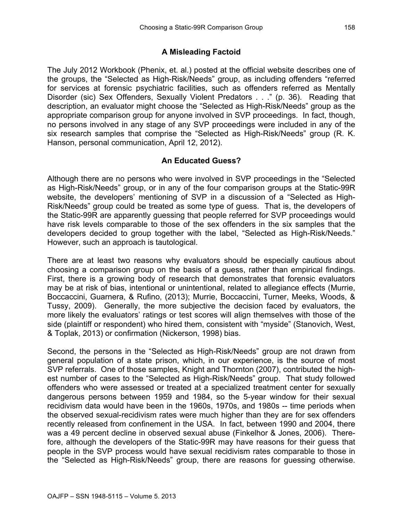## **A Misleading Factoid**

The July 2012 Workbook (Phenix, et. al.) posted at the official website describes one of the groups, the "Selected as High-Risk/Needs" group, as including offenders "referred for services at forensic psychiatric facilities, such as offenders referred as Mentally Disorder (sic) Sex Offenders, Sexually Violent Predators . . ." (p. 36). Reading that description, an evaluator might choose the "Selected as High-Risk/Needs" group as the appropriate comparison group for anyone involved in SVP proceedings. In fact, though, no persons involved in any stage of any SVP proceedings were included in any of the six research samples that comprise the "Selected as High-Risk/Needs" group (R. K. Hanson, personal communication, April 12, 2012).

## **An Educated Guess?**

Although there are no persons who were involved in SVP proceedings in the "Selected as High-Risk/Needs" group, or in any of the four comparison groups at the Static-99R website, the developers' mentioning of SVP in a discussion of a "Selected as High-Risk/Needs" group could be treated as some type of guess. That is, the developers of the Static-99R are apparently guessing that people referred for SVP proceedings would have risk levels comparable to those of the sex offenders in the six samples that the developers decided to group together with the label, "Selected as High-Risk/Needs." However, such an approach is tautological.

There are at least two reasons why evaluators should be especially cautious about choosing a comparison group on the basis of a guess, rather than empirical findings. First, there is a growing body of research that demonstrates that forensic evaluators may be at risk of bias, intentional or unintentional, related to allegiance effects (Murrie, Boccaccini, Guarnera, & Rufino, (2013); Murrie, Boccaccini, Turner, Meeks, Woods, & Tussy, 2009). Generally, the more subjective the decision faced by evaluators, the more likely the evaluators' ratings or test scores will align themselves with those of the side (plaintiff or respondent) who hired them, consistent with "myside" (Stanovich, West, & Toplak, 2013) or confirmation (Nickerson, 1998) bias.

Second, the persons in the "Selected as High-Risk/Needs" group are not drawn from general population of a state prison, which, in our experience, is the source of most SVP referrals. One of those samples, Knight and Thornton (2007), contributed the highest number of cases to the "Selected as High-Risk/Needs" group. That study followed offenders who were assessed or treated at a specialized treatment center for sexually dangerous persons between 1959 and 1984, so the 5-year window for their sexual recidivism data would have been in the 1960s, 1970s, and 1980s -- time periods when the observed sexual-recidivism rates were much higher than they are for sex offenders recently released from confinement in the USA. In fact, between 1990 and 2004, there was a 49 percent decline in observed sexual abuse (Finkelhor & Jones, 2006). Therefore, although the developers of the Static-99R may have reasons for their guess that people in the SVP process would have sexual recidivism rates comparable to those in the "Selected as High-Risk/Needs" group, there are reasons for guessing otherwise.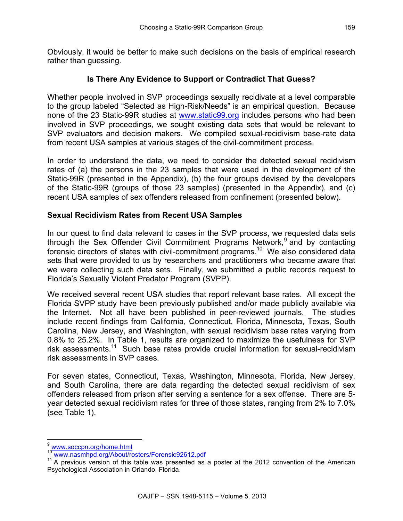Obviously, it would be better to make such decisions on the basis of empirical research rather than guessing.

## **Is There Any Evidence to Support or Contradict That Guess?**

Whether people involved in SVP proceedings sexually recidivate at a level comparable to the group labeled "Selected as High-Risk/Needs" is an empirical question. Because none of the 23 Static-99R studies at [www.static99.org](http://www.static99.org) includes persons who had been involved in SVP proceedings, we sought existing data sets that would be relevant to SVP evaluators and decision makers. We compiled sexual-recidivism base-rate data from recent USA samples at various stages of the civil-commitment process.

In order to understand the data, we need to consider the detected sexual recidivism rates of (a) the persons in the 23 samples that were used in the development of the Static-99R (presented in the Appendix), (b) the four groups devised by the developers of the Static-99R (groups of those 23 samples) (presented in the Appendix), and (c) recent USA samples of sex offenders released from confinement (presented below).

## **Sexual Recidivism Rates from Recent USA Samples**

In our quest to find data relevant to cases in the SVP process, we requested data sets through the Sex Offender Civil Commitment Programs Network,<sup>9</sup> and by contacting forensic directors of states with civil-commitment programs.<sup>10</sup> We also considered data sets that were provided to us by researchers and practitioners who became aware that we were collecting such data sets. Finally, we submitted a public records request to Florida's Sexually Violent Predator Program (SVPP).

We received several recent USA studies that report relevant base rates. All except the Florida SVPP study have been previously published and/or made publicly available via the Internet. Not all have been published in peer-reviewed journals. The studies include recent findings from California, Connecticut, Florida, Minnesota, Texas, South Carolina, New Jersey, and Washington, with sexual recidivism base rates varying from 0.8% to 25.2%. In Table 1, results are organized to maximize the usefulness for SVP risk assessments.<sup>11</sup> Such base rates provide crucial information for sexual-recidivism risk assessments in SVP cases.

For seven states, Connecticut, Texas, Washington, Minnesota, Florida, New Jersey, and South Carolina, there are data regarding the detected sexual recidivism of sex offenders released from prison after serving a sentence for a sex offense. There are 5 year detected sexual recidivism rates for three of those states, ranging from 2% to 7.0% (see Table 1).

<sup>&</sup>lt;sup>9</sup> [www.soccpn.org/home.html](http://www.soccpn.org/home.html)<br><sup>10</sup> www.nasmhpd.org/About/rosters/Forensic92612.pdf

 $<sup>11</sup>$  A previous version of this table was presented as a poster at the 2012 convention of the American</sup> Psychological Association in Orlando, Florida.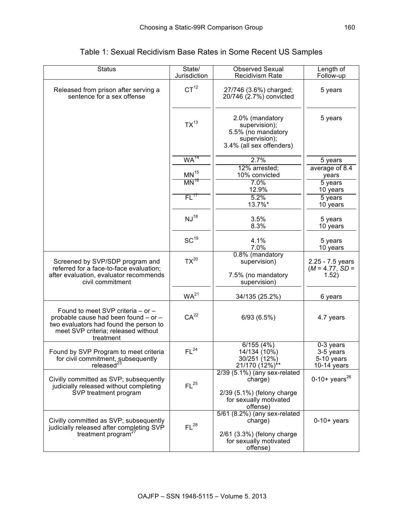| <b>Status</b>                                                                                                                                                           | State/<br>Jurisdiction | <b>Observed Sexual</b><br><b>Recidivism Rate</b>                                                                | Length of<br>Follow-up                                |
|-------------------------------------------------------------------------------------------------------------------------------------------------------------------------|------------------------|-----------------------------------------------------------------------------------------------------------------|-------------------------------------------------------|
| Released from prison after serving a<br>sentence for a sex offense                                                                                                      | CT <sup>12</sup>       | 27/746 (3.6%) charged;<br>20/746 (2.7%) convicted                                                               | 5 years                                               |
|                                                                                                                                                                         | $TX^{13}$              | 2.0% (mandatory<br>supervision);<br>5.5% (no mandatory<br>supervision);<br>3.4% (all sex offenders)             | 5 years                                               |
|                                                                                                                                                                         | WA <sup>14</sup>       | 2.7%                                                                                                            | 5 years                                               |
|                                                                                                                                                                         | $MN^{15}$              | 12% arrested;<br>10% convicted                                                                                  | average of 8.4<br>years                               |
|                                                                                                                                                                         | $MN^{16}$              | 7.0%                                                                                                            | 5 years                                               |
|                                                                                                                                                                         | FL <sup>17</sup>       | 12.9%<br>5.2%                                                                                                   | 10 years                                              |
|                                                                                                                                                                         |                        | 13.7%*                                                                                                          | 5 years<br>10 years                                   |
|                                                                                                                                                                         | NJ <sup>18</sup>       | 3.5%<br>8.3%                                                                                                    | 5 years<br>10 years                                   |
|                                                                                                                                                                         | $SC^{19}$              | 4.1%<br>7.0%                                                                                                    | 5 years<br>10 years                                   |
| Screened by SVP/SDP program and<br>referred for a face-to-face evaluation;<br>after evaluation, evaluator recommends<br>civil commitment                                | $TX^{20}$              | 0.8% (mandatory<br>supervision)<br>7.5% (no mandatory<br>supervision)                                           | 2.25 - 7.5 years<br>$(M = 4.77, SD =$<br>(1.52)       |
|                                                                                                                                                                         | WA <sup>21</sup>       | 34/135 (25.2%)                                                                                                  | 6 years                                               |
| Found to meet SVP criteria - or -<br>probable cause had been found - or -<br>two evaluators had found the person to<br>meet SVP criteria; released without<br>treatment | CA <sup>22</sup>       | 6/93(6.5%)                                                                                                      | 4.7 years                                             |
| Found by SVP Program to meet criteria<br>for civil commitment, subsequently<br>released <sup>23</sup>                                                                   | FL <sup>24</sup>       | 6/155(4%)<br>14/134 (10%)<br>30/251 (12%)<br>21/170 (12%) <sup>**</sup>                                         | 0-3 years<br>3-5 years<br>5-10 years<br>$10-14$ years |
| Civilly committed as SVP; subsequently<br>judicially released without completing<br>SVP treatment program                                                               | FL <sup>25</sup>       | $2/39$ $(5.1%)$ (any sex-related<br>charge)<br>2/39 (5.1%) (felony charge<br>for sexually motivated<br>offense) | 0-10+ years <sup>26</sup>                             |
| Civilly committed as SVP; subsequently<br>judicially released after completing SVP<br>treatment program <sup>2</sup>                                                    | FL <sup>28</sup>       | 5/61 (8.2%) (any sex-related<br>charge)<br>2/61 (3.3%) (felony charge<br>for sexually motivated<br>offense)     | $0-10+$ years                                         |

# Table 1: Sexual Recidivism Base Rates in Some Recent US Samples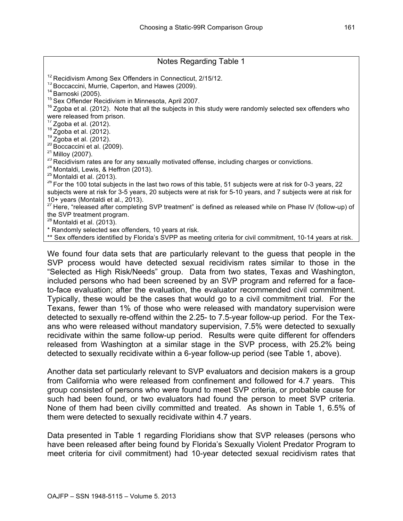# Notes Regarding Table 1 <sup>12</sup> Recidivism Among Sex Offenders in Connecticut, 2/15/12.<br><sup>13</sup> Boccaccini, Murrie, Caperton, and Hawes (2009).<br><sup>14</sup> Barnoski (2005).<br><sup>15</sup> Sex Offender Recidivism in Minnesota, April 2007.<br><sup>16</sup> Zgoba et al. (2012). Note were released from prison.<br><sup>17</sup> Zgoba et al. (2012). <sup>18</sup> Zgoba et al. (2012).<br><sup>19</sup> Zgoba et al. (2012).<br><sup>20</sup> Boccaccini et al. (2009).<br><sup>21</sup> Milloy (2007).<br><sup>23</sup> Recidivism rates are for any sexually motivated offense, including charges or convictions.<br><sup>24</sup> Montaldi, Lewis, subjects were at risk for 3-5 years, 20 subjects were at risk for 5-10 years, and 7 subjects were at risk for 10+ years (Montaldi et al., 2013). <sup>27</sup> Here, "released after completing SVP treatment" is defined as released while on Phase IV (follow-up) of the SVP treatment program.  $^{28}$  Montaldi et al. (2013). \* Randomly selected sex offenders, 10 years at risk. \*\* Sex offenders identified by Florida's SVPP as meeting criteria for civil commitment, 10-14 years at risk.

We found four data sets that are particularly relevant to the guess that people in the SVP process would have detected sexual recidivism rates similar to those in the "Selected as High Risk/Needs" group. Data from two states, Texas and Washington, included persons who had been screened by an SVP program and referred for a faceto-face evaluation; after the evaluation, the evaluator recommended civil commitment. Typically, these would be the cases that would go to a civil commitment trial. For the Texans, fewer than 1% of those who were released with mandatory supervision were detected to sexually re-offend within the 2.25- to 7.5-year follow-up period. For the Texans who were released without mandatory supervision, 7.5% were detected to sexually recidivate within the same follow-up period. Results were quite different for offenders released from Washington at a similar stage in the SVP process, with 25.2% being detected to sexually recidivate within a 6-year follow-up period (see Table 1, above).

Another data set particularly relevant to SVP evaluators and decision makers is a group from California who were released from confinement and followed for 4.7 years. This group consisted of persons who were found to meet SVP criteria, or probable cause for such had been found, or two evaluators had found the person to meet SVP criteria. None of them had been civilly committed and treated. As shown in Table 1, 6.5% of them were detected to sexually recidivate within 4.7 years.

Data presented in Table 1 regarding Floridians show that SVP releases (persons who have been released after being found by Florida's Sexually Violent Predator Program to meet criteria for civil commitment) had 10-year detected sexual recidivism rates that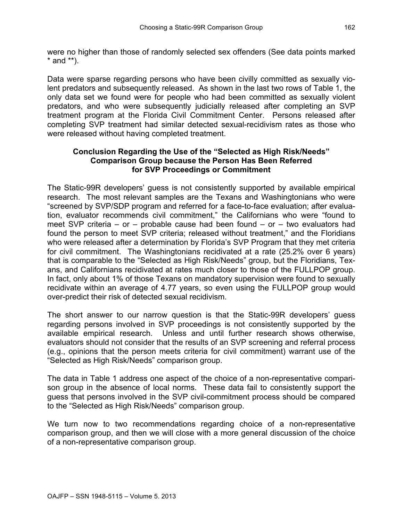were no higher than those of randomly selected sex offenders (See data points marked  $*$  and  $**$ ).

Data were sparse regarding persons who have been civilly committed as sexually violent predators and subsequently released. As shown in the last two rows of Table 1, the only data set we found were for people who had been committed as sexually violent predators, and who were subsequently judicially released after completing an SVP treatment program at the Florida Civil Commitment Center. Persons released after completing SVP treatment had similar detected sexual-recidivism rates as those who were released without having completed treatment.

## **Conclusion Regarding the Use of the "Selected as High Risk/Needs" Comparison Group because the Person Has Been Referred for SVP Proceedings or Commitment**

The Static-99R developers' guess is not consistently supported by available empirical research. The most relevant samples are the Texans and Washingtonians who were "screened by SVP/SDP program and referred for a face-to-face evaluation; after evaluation, evaluator recommends civil commitment," the Californians who were "found to meet SVP criteria – or – probable cause had been found – or – two evaluators had found the person to meet SVP criteria; released without treatment," and the Floridians who were released after a determination by Florida's SVP Program that they met criteria for civil commitment. The Washingtonians recidivated at a rate (25.2% over 6 years) that is comparable to the "Selected as High Risk/Needs" group, but the Floridians, Texans, and Californians recidivated at rates much closer to those of the FULLPOP group. In fact, only about 1% of those Texans on mandatory supervision were found to sexually recidivate within an average of 4.77 years, so even using the FULLPOP group would over-predict their risk of detected sexual recidivism.

The short answer to our narrow question is that the Static-99R developers' guess regarding persons involved in SVP proceedings is not consistently supported by the available empirical research. Unless and until further research shows otherwise, evaluators should not consider that the results of an SVP screening and referral process (e.g., opinions that the person meets criteria for civil commitment) warrant use of the "Selected as High Risk/Needs" comparison group.

The data in Table 1 address one aspect of the choice of a non-representative comparison group in the absence of local norms. These data fail to consistently support the guess that persons involved in the SVP civil-commitment process should be compared to the "Selected as High Risk/Needs" comparison group.

We turn now to two recommendations regarding choice of a non-representative comparison group, and then we will close with a more general discussion of the choice of a non-representative comparison group.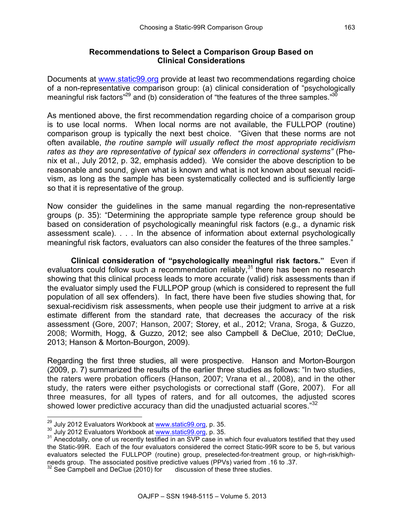#### **Recommendations to Select a Comparison Group Based on Clinical Considerations**

Documents at [www.static99.org](http://www.static99.org) provide at least two recommendations regarding choice of a non-representative comparison group: (a) clinical consideration of "psychologically meaningful risk factors"<sup>29</sup> and (b) consideration of "the features of the three samples."<sup>30</sup>

As mentioned above, the first recommendation regarding choice of a comparison group is to use local norms. When local norms are not available, the FULLPOP (routine) comparison group is typically the next best choice. "Given that these norms are not often available, *the routine sample will usually reflect the most appropriate recidivism rates as they are representative of typical sex offenders in correctional systems"* (Phenix et al., July 2012, p. 32, emphasis added). We consider the above description to be reasonable and sound, given what is known and what is not known about sexual recidivism, as long as the sample has been systematically collected and is sufficiently large so that it is representative of the group.

Now consider the guidelines in the same manual regarding the non-representative groups (p. 35): "Determining the appropriate sample type reference group should be based on consideration of psychologically meaningful risk factors (e.g., a dynamic risk assessment scale). . . . In the absence of information about external psychologically meaningful risk factors, evaluators can also consider the features of the three samples."

**Clinical consideration of "psychologically meaningful risk factors."** Even if evaluators could follow such a recommendation reliably,  $31$  there has been no research showing that this clinical process leads to more accurate (valid) risk assessments than if the evaluator simply used the FULLPOP group (which is considered to represent the full population of all sex offenders). In fact, there have been five studies showing that, for sexual-recidivism risk assessments, when people use their judgment to arrive at a risk estimate different from the standard rate, that decreases the accuracy of the risk assessment (Gore, 2007; Hanson, 2007; Storey, et al., 2012; Vrana, Sroga, & Guzzo, 2008; Wormith, Hogg, & Guzzo, 2012; see also Campbell & DeClue, 2010; DeClue, 2013; Hanson & Morton-Bourgon, 2009).

Regarding the first three studies, all were prospective. Hanson and Morton-Bourgon (2009, p. 7) summarized the results of the earlier three studies as follows: "In two studies, the raters were probation officers (Hanson, 2007; Vrana et al., 2008), and in the other study, the raters were either psychologists or correctional staff (Gore, 2007). For all three measures, for all types of raters, and for all outcomes, the adjusted scores showed lower predictive accuracy than did the unadjusted actuarial scores."32

<sup>&</sup>lt;sup>29</sup> July 2012 Evaluators Workbook a[t www.static99.org,](http://www.static99.org) p. 35.<br><sup>30</sup> July 2012 Evaluators Workbook at www.static99.org, p. 35.<br><sup>31</sup> Anecdotally, one of us recently testified in an SVP case in which four evaluators testifie the Static-99R. Each of the four evaluators considered the correct Static-99R score to be 5, but various evaluators selected the FULLPOP (routine) group, preselected-for-treatment group, or high-risk/highneeds group. The associated positive predictive values (PPVs) varied from .16 to .37.

 $32$  See Campbell and DeClue (2010) for discussion of these three studies.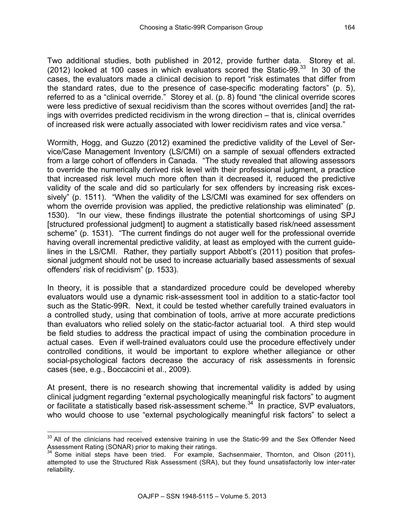Two additional studies, both published in 2012, provide further data. Storey et al. (2012) looked at 100 cases in which evaluators scored the Static-99. $33$  In 30 of the cases, the evaluators made a clinical decision to report "risk estimates that differ from the standard rates, due to the presence of case-specific moderating factors" (p. 5), referred to as a "clinical override." Storey et al. (p. 8) found "the clinical override scores were less predictive of sexual recidivism than the scores without overrides [and] the ratings with overrides predicted recidivism in the wrong direction – that is, clinical overrides of increased risk were actually associated with lower recidivism rates and vice versa."

Wormith, Hogg, and Guzzo (2012) examined the predictive validity of the Level of Service/Case Management Inventory (LS/CMI) on a sample of sexual offenders extracted from a large cohort of offenders in Canada. "The study revealed that allowing assessors to override the numerically derived risk level with their professional judgment, a practice that increased risk level much more often than it decreased it, reduced the predictive validity of the scale and did so particularly for sex offenders by increasing risk excessively" (p. 1511). "When the validity of the LS/CMI was examined for sex offenders on whom the override provision was applied, the predictive relationship was eliminated" (p. 1530). "In our view, these findings illustrate the potential shortcomings of using SPJ [structured professional judgment] to augment a statistically based risk/need assessment scheme" (p. 1531). "The current findings do not auger well for the professional override having overall incremental predictive validity, at least as employed with the current guidelines in the LS/CMI. Rather, they partially support Abbott's (2011) position that professional judgment should not be used to increase actuarially based assessments of sexual offenders' risk of recidivism" (p. 1533).

In theory, it is possible that a standardized procedure could be developed whereby evaluators would use a dynamic risk-assessment tool in addition to a static-factor tool such as the Static-99R. Next, it could be tested whether carefully trained evaluators in a controlled study, using that combination of tools, arrive at more accurate predictions than evaluators who relied solely on the static-factor actuarial tool. A third step would be field studies to address the practical impact of using the combination procedure in actual cases. Even if well-trained evaluators could use the procedure effectively under controlled conditions, it would be important to explore whether allegiance or other social-psychological factors decrease the accuracy of risk assessments in forensic cases (see, e.g., Boccaccini et al., 2009).

At present, there is no research showing that incremental validity is added by using clinical judgment regarding "external psychologically meaningful risk factors" to augment or facilitate a statistically based risk-assessment scheme.<sup>34</sup> In practice, SVP evaluators, who would choose to use "external psychologically meaningful risk factors" to select a

 $33$  All of the clinicians had received extensive training in use the Static-99 and the Sex Offender Need<br>Assessment Rating (SONAR) prior to making their ratings.<br> $34$  Some initial states have been triaded as

Some initial steps have been tried. For example, Sachsenmaier, Thornton, and Olson (2011), attempted to use the Structured Risk Assessment (SRA), but they found unsatisfactorily low inter-rater reliability.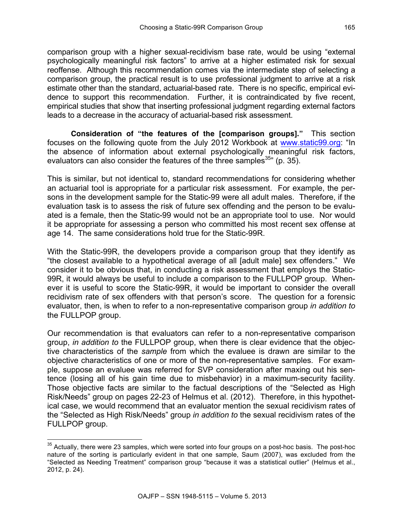comparison group with a higher sexual-recidivism base rate, would be using "external psychologically meaningful risk factors" to arrive at a higher estimated risk for sexual reoffense. Although this recommendation comes via the intermediate step of selecting a comparison group, the practical result is to use professional judgment to arrive at a risk estimate other than the standard, actuarial-based rate. There is no specific, empirical evidence to support this recommendation. Further, it is contraindicated by five recent, empirical studies that show that inserting professional judgment regarding external factors leads to a decrease in the accuracy of actuarial-based risk assessment.

**Consideration of "the features of the [comparison groups]."** This section focuses on the following quote from the July 2012 Workbook at [www.static99.org:](http://www.static99.org) "In the absence of information about external psychologically meaningful risk factors, evaluators can also consider the features of the three samples  $35$ " (p. 35).

This is similar, but not identical to, standard recommendations for considering whether an actuarial tool is appropriate for a particular risk assessment. For example, the persons in the development sample for the Static-99 were all adult males. Therefore, if the evaluation task is to assess the risk of future sex offending and the person to be evaluated is a female, then the Static-99 would not be an appropriate tool to use. Nor would it be appropriate for assessing a person who committed his most recent sex offense at age 14. The same considerations hold true for the Static-99R.

With the Static-99R, the developers provide a comparison group that they identify as "the closest available to a hypothetical average of all [adult male] sex offenders." We consider it to be obvious that, in conducting a risk assessment that employs the Static-99R, it would always be useful to include a comparison to the FULLPOP group. Whenever it is useful to score the Static-99R, it would be important to consider the overall recidivism rate of sex offenders with that person's score. The question for a forensic evaluator, then, is when to refer to a non-representative comparison group *in addition to* the FULLPOP group.

Our recommendation is that evaluators can refer to a non-representative comparison group, *in addition to* the FULLPOP group, when there is clear evidence that the objective characteristics of the *sample* from which the evaluee is drawn are similar to the objective characteristics of one or more of the non-representative samples. For example, suppose an evaluee was referred for SVP consideration after maxing out his sentence (losing all of his gain time due to misbehavior) in a maximum-security facility. Those objective facts are similar to the factual descriptions of the "Selected as High Risk/Needs" group on pages 22-23 of Helmus et al. (2012). Therefore, in this hypothetical case, we would recommend that an evaluator mention the sexual recidivism rates of the "Selected as High Risk/Needs" group *in addition to* the sexual recidivism rates of the FULLPOP group.

<sup>&</sup>lt;sup>35</sup> Actually, there were 23 samples, which were sorted into four groups on a post-hoc basis. The post-hoc nature of the sorting is particularly evident in that one sample, Saum (2007), was excluded from the "Selected as Needing Treatment" comparison group "because it was a statistical outlier" (Helmus et al., 2012, p. 24).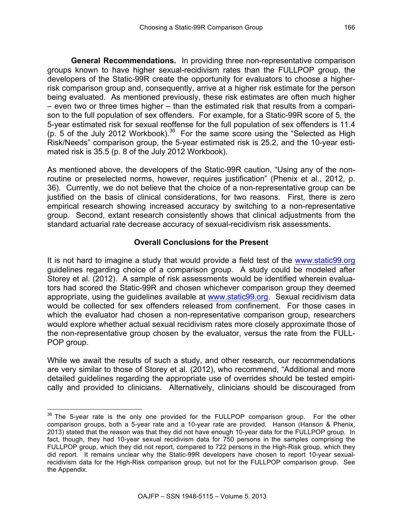**General Recommendations.** In providing three non-representative comparison groups known to have higher sexual-recidivism rates than the FULLPOP group, the developers of the Static-99R create the opportunity for evaluators to choose a higherrisk comparison group and, consequently, arrive at a higher risk estimate for the person being evaluated. As mentioned previously, these risk estimates are often much higher – even two or three times higher – than the estimated risk that results from a comparison to the full population of sex offenders. For example, for a Static-99R score of 5, the 5-year estimated risk for sexual reoffense for the full population of sex offenders is 11.4 (p. 5 of the July 2012 Workbook).<sup>36</sup> For the same score using the "Selected as High Risk/Needs" comparison group, the 5-year estimated risk is 25.2, and the 10-year estimated risk is 35.5 (p. 8 of the July 2012 Workbook).

As mentioned above, the developers of the Static-99R caution, "Using any of the nonroutine or preselected norms, however, requires justification" (Phenix et al., 2012, p. 36). Currently, we do not believe that the choice of a non-representative group can be justified on the basis of clinical considerations, for two reasons. First, there is zero empirical research showing increased accuracy by switching to a non-representative group. Second, extant research consistently shows that clinical adjustments from the standard actuarial rate decrease accuracy of sexual-recidivism risk assessments.

## **Overall Conclusions for the Present**

It is not hard to imagine a study that would provide a field test of the [www.static99.org](http://www.static99.org) guidelines regarding choice of a comparison group. A study could be modeled after Storey et al. (2012). A sample of risk assessments would be identified wherein evaluators had scored the Static-99R and chosen whichever comparison group they deemed appropriate, using the guidelines available at [www.static99.org.](http://www.static99.org) Sexual recidivism data would be collected for sex offenders released from confinement. For those cases in which the evaluator had chosen a non-representative comparison group, researchers would explore whether actual sexual recidivism rates more closely approximate those of the non-representative group chosen by the evaluator, versus the rate from the FULL-POP group.

While we await the results of such a study, and other research, our recommendations are very similar to those of Storey et al. (2012), who recommend, "Additional and more detailed guidelines regarding the appropriate use of overrides should be tested empirically and provided to clinicians. Alternatively, clinicians should be discouraged from

 $36$  The 5-year rate is the only one provided for the FULLPOP comparison group. For the other comparison groups, both a 5-year rate and a 10-year rate are provided. Hanson (Hanson & Phenix, 2013) stated that the reason was that they did not have enough 10-year data for the FULLPOP group. In fact, though, they had 10-year sexual recidivism data for 750 persons in the samples comprising the FULLPOP group, which they did not report, compared to 722 persons in the High-Risk group, which they did report. It remains unclear why the Static-99R developers have chosen to report 10-year sexualrecidivism data for the High-Risk comparison group, but not for the FULLPOP comparison group. See the Appendix.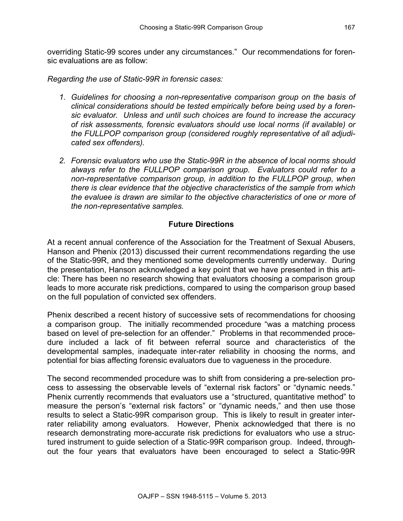overriding Static-99 scores under any circumstances." Our recommendations for forensic evaluations are as follow:

*Regarding the use of Static-99R in forensic cases:* 

- *1. Guidelines for choosing a non-representative comparison group on the basis of clinical considerations should be tested empirically before being used by a forensic evaluator. Unless and until such choices are found to increase the accuracy of risk assessments, forensic evaluators should use local norms (if available) or the FULLPOP comparison group (considered roughly representative of all adjudicated sex offenders).*
- *2. Forensic evaluators who use the Static-99R in the absence of local norms should always refer to the FULLPOP comparison group. Evaluators could refer to a non-representative comparison group, in addition to the FULLPOP group, when there is clear evidence that the objective characteristics of the sample from which the evaluee is drawn are similar to the objective characteristics of one or more of the non-representative samples.*

## **Future Directions**

At a recent annual conference of the Association for the Treatment of Sexual Abusers, Hanson and Phenix (2013) discussed their current recommendations regarding the use of the Static-99R, and they mentioned some developments currently underway. During the presentation, Hanson acknowledged a key point that we have presented in this article: There has been no research showing that evaluators choosing a comparison group leads to more accurate risk predictions, compared to using the comparison group based on the full population of convicted sex offenders.

Phenix described a recent history of successive sets of recommendations for choosing a comparison group. The initially recommended procedure "was a matching process based on level of pre-selection for an offender." Problems in that recommended procedure included a lack of fit between referral source and characteristics of the developmental samples, inadequate inter-rater reliability in choosing the norms, and potential for bias affecting forensic evaluators due to vagueness in the procedure.

The second recommended procedure was to shift from considering a pre-selection process to assessing the observable levels of "external risk factors" or "dynamic needs." Phenix currently recommends that evaluators use a "structured, quantitative method" to measure the person's "external risk factors" or "dynamic needs," and then use those results to select a Static-99R comparison group. This is likely to result in greater interrater reliability among evaluators. However, Phenix acknowledged that there is no research demonstrating more-accurate risk predictions for evaluators who use a structured instrument to guide selection of a Static-99R comparison group. Indeed, throughout the four years that evaluators have been encouraged to select a Static-99R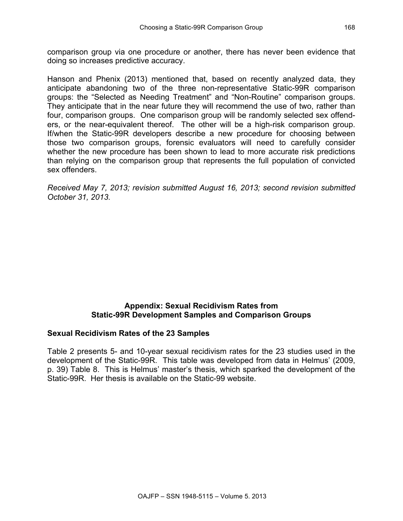comparison group via one procedure or another, there has never been evidence that doing so increases predictive accuracy.

Hanson and Phenix (2013) mentioned that, based on recently analyzed data, they anticipate abandoning two of the three non-representative Static-99R comparison groups: the "Selected as Needing Treatment" and "Non-Routine" comparison groups. They anticipate that in the near future they will recommend the use of two, rather than four, comparison groups. One comparison group will be randomly selected sex offenders, or the near-equivalent thereof. The other will be a high-risk comparison group. If/when the Static-99R developers describe a new procedure for choosing between those two comparison groups, forensic evaluators will need to carefully consider whether the new procedure has been shown to lead to more accurate risk predictions than relying on the comparison group that represents the full population of convicted sex offenders.

*Received May 7, 2013; revision submitted August 16, 2013; second revision submitted October 31, 2013.*

## **Appendix: Sexual Recidivism Rates from Static-99R Development Samples and Comparison Groups**

## **Sexual Recidivism Rates of the 23 Samples**

Table 2 presents 5- and 10-year sexual recidivism rates for the 23 studies used in the development of the Static-99R. This table was developed from data in Helmus' (2009, p. 39) Table 8. This is Helmus' master's thesis, which sparked the development of the Static-99R. Her thesis is available on the Static-99 website.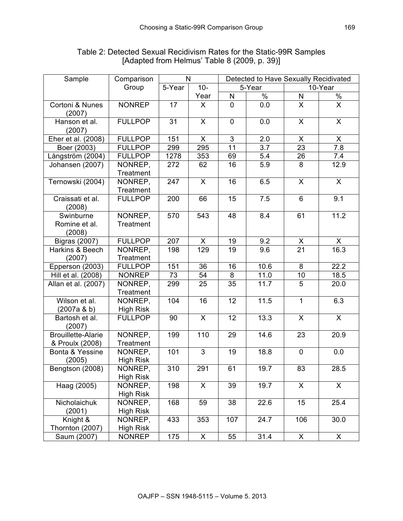| Sample                                       | Comparison                  | N                |              | Detected to Have Sexually Recidivated |               |                         |                         |  |
|----------------------------------------------|-----------------------------|------------------|--------------|---------------------------------------|---------------|-------------------------|-------------------------|--|
|                                              | Group                       | 5-Year<br>$10 -$ |              | 5-Year                                |               |                         | 10-Year                 |  |
|                                              |                             |                  | Year         | N                                     | $\frac{1}{2}$ | N                       | $\frac{0}{6}$           |  |
| Cortoni & Nunes<br>(2007)                    | <b>NONREP</b>               | 17               | X.           | 0                                     | 0.0           | $\overline{X}$          | $\overline{\mathsf{x}}$ |  |
| Hanson et al.<br>(2007)                      | <b>FULLPOP</b>              | 31               | $\mathsf{X}$ | $\mathbf 0$                           | 0.0           | $\mathsf{X}$            | $\mathsf{X}$            |  |
| Eher et al. (2008)                           | <b>FULLPOP</b>              | 151              | X            | $\overline{3}$                        | 2.0           | X                       | X                       |  |
| Boer (2003)                                  | <b>FULLPOP</b>              | 299              | 295          | 11                                    | 3.7           | 23                      | 7.8                     |  |
| Långström (2004)                             | <b>FULLPOP</b>              | 1278             | 353          | 69                                    | 5.4           | 26                      | 7.4                     |  |
| Johansen (2007)                              | NONREP,<br>Treatment        | 272              | 62           | 16                                    | 5.9           | 8                       | 12.9                    |  |
| Ternowski (2004)                             | NONREP,<br>Treatment        | 247              | X            | 16                                    | 6.5           | $\overline{\mathsf{x}}$ | $\overline{X}$          |  |
| Craissati et al.<br>(2008)                   | <b>FULLPOP</b>              | 200              | 66           | 15                                    | 7.5           | 6                       | 9.1                     |  |
| Swinburne<br>Romine et al.<br>(2008)         | NONREP,<br>Treatment        | 570              | 543          | 48                                    | 8.4           | 61                      | 11.2                    |  |
| <b>Bigras (2007)</b>                         | <b>FULLPOP</b>              | 207              | X            | 19                                    | 9.2           | X                       | X                       |  |
| Harkins & Beech<br>(2007)                    | NONREP,<br>Treatment        | 198              | 129          | 19                                    | 9.6           | $\overline{21}$         | 16.3                    |  |
| Epperson (2003)                              | <b>FULLPOP</b>              | 151              | 36           | 16                                    | 10.6          | 8                       | 22.2                    |  |
| Hill et al. (2008)                           | <b>NONREP</b>               | 73               | 54           | 8                                     | 11.0          | 10                      | 18.5                    |  |
| Allan et al. (2007)                          | NONREP,<br>Treatment        | 299              | 25           | 35                                    | 11.7          | 5                       | 20.0                    |  |
| Wilson et al.<br>(2007a & b)                 | NONREP,<br><b>High Risk</b> | 104              | 16           | 12                                    | 11.5          | $\mathbf{1}$            | 6.3                     |  |
| Bartosh et al.<br>(2007)                     | <b>FULLPOP</b>              | 90               | X            | 12                                    | 13.3          | X                       | X                       |  |
| <b>Brouillette-Alarie</b><br>& Proulx (2008) | NONREP,<br><b>Treatment</b> | 199              | 110          | 29                                    | 14.6          | 23                      | 20.9                    |  |
| Bonta & Yessine<br>(2005)                    | NONREP,<br><b>High Risk</b> | 101              | 3            | 19                                    | 18.8          | $\mathbf 0$             | 0.0                     |  |
| Bengtson (2008)                              | NONREP,<br><b>High Risk</b> | 310              | 291          | 61                                    | 19.7          | 83                      | 28.5                    |  |
| Haag (2005)                                  | NONREP,<br>High Risk        | 198              | X            | 39                                    | 19.7          | $\mathsf{X}$            | X                       |  |
| Nicholaichuk<br>(2001)                       | NONREP,<br><b>High Risk</b> | 168              | 59           | 38                                    | 22.6          | 15                      | 25.4                    |  |
| Knight &<br>Thornton (2007)                  | NONREP,<br><b>High Risk</b> | 433              | 353          | 107                                   | 24.7          | 106                     | 30.0                    |  |
| Saum (2007)                                  | <b>NONREP</b>               | 175              | X            | 55                                    | 31.4          | X                       | X                       |  |

# Table 2: Detected Sexual Recidivism Rates for the Static-99R Samples [Adapted from Helmus' Table 8 (2009, p. 39)]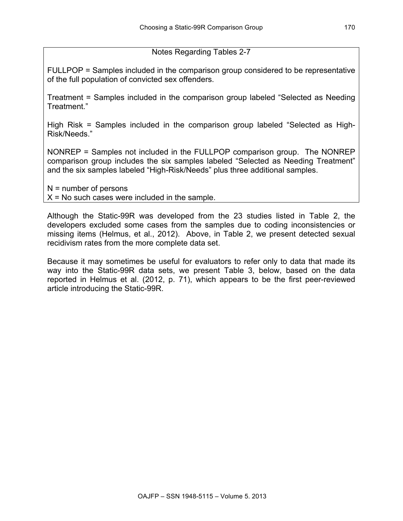# Notes Regarding Tables 2-7

FULLPOP = Samples included in the comparison group considered to be representative of the full population of convicted sex offenders.

Treatment = Samples included in the comparison group labeled "Selected as Needing Treatment."

High Risk = Samples included in the comparison group labeled "Selected as High-Risk/Needs."

NONREP = Samples not included in the FULLPOP comparison group. The NONREP comparison group includes the six samples labeled "Selected as Needing Treatment" and the six samples labeled "High-Risk/Needs" plus three additional samples.

N = number of persons  $X = No$  such cases were included in the sample.

Although the Static-99R was developed from the 23 studies listed in Table 2, the developers excluded some cases from the samples due to coding inconsistencies or missing items (Helmus, et al., 2012). Above, in Table 2, we present detected sexual recidivism rates from the more complete data set.

Because it may sometimes be useful for evaluators to refer only to data that made its way into the Static-99R data sets, we present Table 3, below, based on the data reported in Helmus et al. (2012, p. 71), which appears to be the first peer-reviewed article introducing the Static-99R.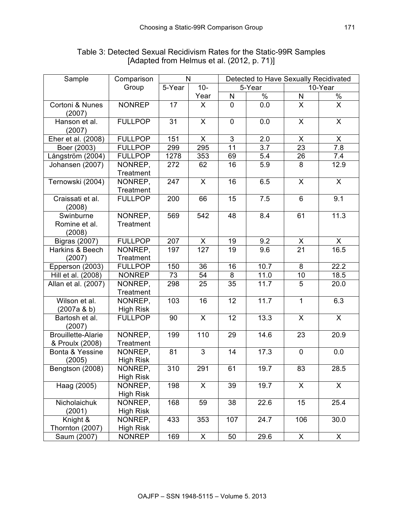| Sample                                       | Comparison                  | N               |              | Detected to Have Sexually Recidivated |                  |                         |                         |
|----------------------------------------------|-----------------------------|-----------------|--------------|---------------------------------------|------------------|-------------------------|-------------------------|
|                                              | Group                       | 5-Year<br>$10-$ |              | 5-Year                                |                  | 10-Year                 |                         |
|                                              |                             |                 | Year         | $\mathsf{N}$                          | $\frac{1}{2}$    | N                       | $\frac{0}{0}$           |
| Cortoni & Nunes<br>(2007)                    | <b>NONREP</b>               | 17              | X            | $\mathbf 0$                           | 0.0              | $\overline{\mathsf{x}}$ | $\overline{\mathsf{x}}$ |
| Hanson et al.<br>(2007)                      | <b>FULLPOP</b>              | 31              | X            | $\mathbf 0$                           | 0.0              | X                       | $\pmb{\times}$          |
| Eher et al. (2008)                           | <b>FULLPOP</b>              | 151             | X            | 3                                     | 2.0              | X                       | X                       |
| Boer (2003)                                  | <b>FULLPOP</b>              | 299             | 295          | $\overline{11}$                       | $\overline{3.7}$ | $\overline{23}$         | $\overline{7.8}$        |
| Långström (2004)                             | <b>FULLPOP</b>              | 1278            | 353          | 69                                    | 5.4              | 26                      | 7.4                     |
| Johansen (2007)                              | NONREP,<br>Treatment        | 272             | 62           | 16                                    | 5.9              | 8                       | 12.9                    |
| Ternowski (2004)                             | NONREP,<br>Treatment        | 247             | X            | 16                                    | 6.5              | $\overline{\mathsf{x}}$ | $\overline{\mathsf{x}}$ |
| Craissati et al.<br>(2008)                   | <b>FULLPOP</b>              | 200             | 66           | 15                                    | 7.5              | 6                       | 9.1                     |
| Swinburne<br>Romine et al.<br>(2008)         | NONREP,<br>Treatment        | 569             | 542          | 48                                    | 8.4              | 61                      | 11.3                    |
| <b>Bigras (2007)</b>                         | <b>FULLPOP</b>              | 207             | X            | 19                                    | 9.2              | X                       | X                       |
| Harkins & Beech<br>(2007)                    | NONREP.<br>Treatment        | 197             | 127          | 19                                    | 9.6              | 21                      | 16.5                    |
| Epperson (2003)                              | <b>FULLPOP</b>              | 150             | 36           | 16                                    | 10.7             | 8                       | 22.2                    |
| Hill et al. (2008)                           | <b>NONREP</b>               | 73              | 54           | 8                                     | 11.0             | 10                      | 18.5                    |
| Allan et al. (2007)                          | NONREP,<br>Treatment        | 298             | 25           | 35                                    | 11.7             | 5                       | 20.0                    |
| Wilson et al.<br>(2007a & b)                 | NONREP,<br><b>High Risk</b> | 103             | 16           | 12                                    | 11.7             | $\mathbf{1}$            | 6.3                     |
| Bartosh et al.<br>(2007)                     | <b>FULLPOP</b>              | 90              | $\mathsf{X}$ | 12                                    | 13.3             | $\mathsf{X}$            | $\mathsf{X}$            |
| <b>Brouillette-Alarie</b><br>& Proulx (2008) | NONREP,<br>Treatment        | 199             | 110          | 29                                    | 14.6             | 23                      | 20.9                    |
| Bonta & Yessine<br>(2005)                    | NONREP,<br><b>High Risk</b> | 81              | 3            | 14                                    | 17.3             | $\mathbf 0$             | 0.0                     |
| Bengtson (2008)                              | NONREP,<br><b>High Risk</b> | 310             | 291          | 61                                    | 19.7             | 83                      | 28.5                    |
| Haag (2005)                                  | NONREP,<br>High Risk        | 198             | X            | 39                                    | 19.7             | X                       | $\mathsf{X}$            |
| Nicholaichuk<br>(2001)                       | NONREP,<br><b>High Risk</b> | 168             | 59           | 38                                    | 22.6             | 15                      | 25.4                    |
| Knight &<br>Thornton (2007)                  | NONREP,<br><b>High Risk</b> | 433             | 353          | 107                                   | 24.7             | 106                     | 30.0                    |
| Saum (2007)                                  | <b>NONREP</b>               | 169             | X            | 50                                    | 29.6             | $\overline{X}$          | $\overline{X}$          |

# Table 3: Detected Sexual Recidivism Rates for the Static-99R Samples [Adapted from Helmus et al. (2012, p. 71)]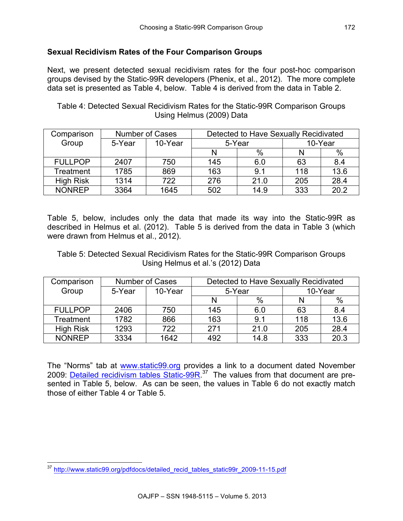# **Sexual Recidivism Rates of the Four Comparison Groups**

Next, we present detected sexual recidivism rates for the four post-hoc comparison groups devised by the Static-99R developers (Phenix, et al., 2012). The more complete data set is presented as Table 4, below. Table 4 is derived from the data in Table 2.

## Table 4: Detected Sexual Recidivism Rates for the Static-99R Comparison Groups Using Helmus (2009) Data

| Comparison       |        | Number of Cases |        |      | Detected to Have Sexually Recidivated |         |  |
|------------------|--------|-----------------|--------|------|---------------------------------------|---------|--|
| Group            | 5-Year | 10-Year         | 5-Year |      |                                       | 10-Year |  |
|                  |        |                 |        | %    |                                       | $\%$    |  |
| <b>FULLPOP</b>   | 2407   | 750             | 145    | 6.0  | 63                                    | 8.4     |  |
| Treatment        | 1785   | 869             | 163    | 9.1  | 118                                   | 13.6    |  |
| <b>High Risk</b> | 1314   | 722             | 276    | 21.0 | 205                                   | 28.4    |  |
| <b>NONREP</b>    | 3364   | 1645            | 502    | 14.9 | 333                                   | 20.2    |  |

Table 5, below, includes only the data that made its way into the Static-99R as described in Helmus et al. (2012). Table 5 is derived from the data in Table 3 (which were drawn from Helmus et al., 2012).

Table 5: Detected Sexual Recidivism Rates for the Static-99R Comparison Groups Using Helmus et al.'s (2012) Data

| Comparison       |        | <b>Number of Cases</b> | Detected to Have Sexually Recidivated |      |     |         |
|------------------|--------|------------------------|---------------------------------------|------|-----|---------|
| Group            | 5-Year | 10-Year                | 5-Year                                |      |     | 10-Year |
|                  |        |                        |                                       | %    |     | $\%$    |
| <b>FULLPOP</b>   | 2406   | 750                    | 145                                   | 6.0  | 63  | 8.4     |
| Treatment        | 1782   | 866                    | 163                                   | 9.1  | 118 | 13.6    |
| <b>High Risk</b> | 1293   | 722                    | 271                                   | 21.0 | 205 | 28.4    |
| <b>NONREP</b>    | 3334   | 1642                   | 492                                   | 14.8 | 333 | 20.3    |

The "Norms" tab at [www.static99.org](http://www.static99.org) provides a link to a document dated November 2009: [Detailed recidivism tables Static-99R.](http://www.static99.org/pdfdocs/detailed_recid_tables_static99r_2009-11-15.pdf)<sup>37</sup> The values from that document are presented in Table 5, below. As can be seen, the values in Table 6 do not exactly match those of either Table 4 or Table 5.

 <sup>37</sup> h[ttp://www.static99.org/pdfdocs/detailed\\_recid\\_tables\\_static99r\\_2009-11-15.pdf](http://www.static99.org/pdfdocs/detailed_recid_tables_static99r_2009-11-15.pdf)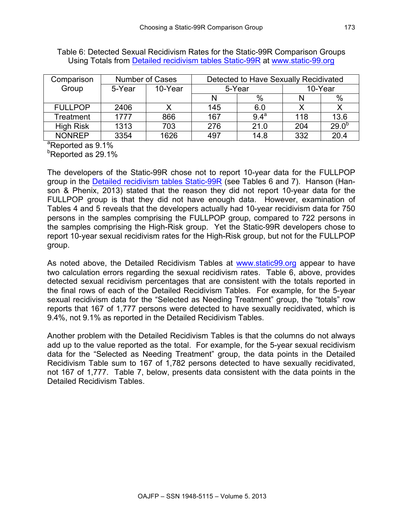| Comparison       |        | <b>Number of Cases</b> |        |                  | Detected to Have Sexually Recidivated |            |
|------------------|--------|------------------------|--------|------------------|---------------------------------------|------------|
| Group            | 5-Year | 10-Year                | 5-Year |                  |                                       | 10-Year    |
|                  |        |                        | $\%$   |                  |                                       | %          |
| <b>FULLPOP</b>   | 2406   |                        | 145    | 6.0              |                                       |            |
| Treatment        | 1777   | 866                    | 167    | 9.4 <sup>a</sup> | 118                                   | 13.6       |
| <b>High Risk</b> | 1313   | 703                    | 276    | 21.0             | 204                                   | $29.0^{b}$ |
| <b>NONREP</b>    | 3354   | 1626                   | 497    | 14.8             | 332                                   | 20.4       |

Table 6: Detected Sexual Recidivism Rates for the Static-99R Comparison Groups Using Totals from [Detailed recidivism tables Static-99R](http://www.static99.org/pdfdocs/detailed_recid_tables_static99r_2009-11-15.pdf) at [www.static-99.org](http://www.static-99.org)

<sup>a</sup>Reported as 9.1%

<sup>b</sup>Reported as 29.1%

The developers of the Static-99R chose not to report 10-year data for the FULLPOP group in the [Detailed recidivism tables Static-99R](http://www.static99.org/pdfdocs/detailed_recid_tables_static99r_2009-11-15.pdf) (see Tables 6 and 7). Hanson (Hanson & Phenix, 2013) stated that the reason they did not report 10-year data for the FULLPOP group is that they did not have enough data. However, examination of Tables 4 and 5 reveals that the developers actually had 10-year recidivism data for 750 persons in the samples comprising the FULLPOP group, compared to 722 persons in the samples comprising the High-Risk group. Yet the Static-99R developers chose to report 10-year sexual recidivism rates for the High-Risk group, but not for the FULLPOP group.

As noted above, the Detailed Recidivism Tables at [www.static99.org](http://www.static-99.org) appear to have two calculation errors regarding the sexual recidivism rates. Table 6, above, provides detected sexual recidivism percentages that are consistent with the totals reported in the final rows of each of the Detailed Recidivism Tables. For example, for the 5-year sexual recidivism data for the "Selected as Needing Treatment" group, the "totals" row reports that 167 of 1,777 persons were detected to have sexually recidivated, which is 9.4%, not 9.1% as reported in the Detailed Recidivism Tables.

Another problem with the Detailed Recidivism Tables is that the columns do not always add up to the value reported as the total. For example, for the 5-year sexual recidivism data for the "Selected as Needing Treatment" group, the data points in the Detailed Recidivism Table sum to 167 of 1,782 persons detected to have sexually recidivated, not 167 of 1,777. Table 7, below, presents data consistent with the data points in the Detailed Recidivism Tables.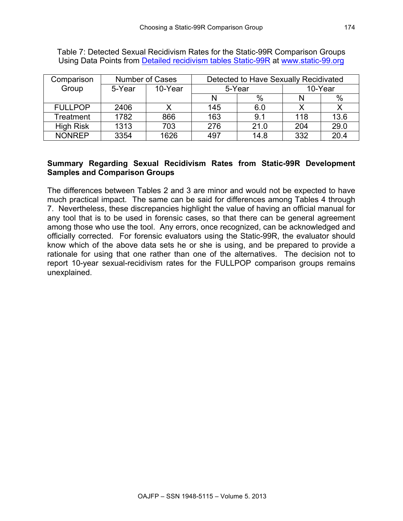| Comparison       |        | <b>Number of Cases</b> | Detected to Have Sexually Recidivated |      |     |         |
|------------------|--------|------------------------|---------------------------------------|------|-----|---------|
| Group            | 5-Year | 10-Year                | 5-Year                                |      |     | 10-Year |
|                  |        |                        |                                       | %    |     | $\%$    |
| <b>FULLPOP</b>   | 2406   |                        | 145                                   | 6.0  |     |         |
| Treatment        | 1782   | 866                    | 163                                   | 9.1  | 118 | 13.6    |
| <b>High Risk</b> | 1313   | 703                    | 276                                   | 21.0 | 204 | 29.0    |
| <b>NONREP</b>    | 3354   | 1626                   | 497                                   | 14.8 | 332 | 20.4    |

Table 7: Detected Sexual Recidivism Rates for the Static-99R Comparison Groups Using Data Points from [Detailed recidivism tables Static-99R](http://www.static99.org/pdfdocs/detailed_recid_tables_static99r_2009-11-15.pdf) at [www.static-99.org](http://www.static-99.org)

## **Summary Regarding Sexual Recidivism Rates from Static-99R Development Samples and Comparison Groups**

The differences between Tables 2 and 3 are minor and would not be expected to have much practical impact. The same can be said for differences among Tables 4 through 7. Nevertheless, these discrepancies highlight the value of having an official manual for any tool that is to be used in forensic cases, so that there can be general agreement among those who use the tool. Any errors, once recognized, can be acknowledged and officially corrected. For forensic evaluators using the Static-99R, the evaluator should know which of the above data sets he or she is using, and be prepared to provide a rationale for using that one rather than one of the alternatives. The decision not to report 10-year sexual-recidivism rates for the FULLPOP comparison groups remains unexplained.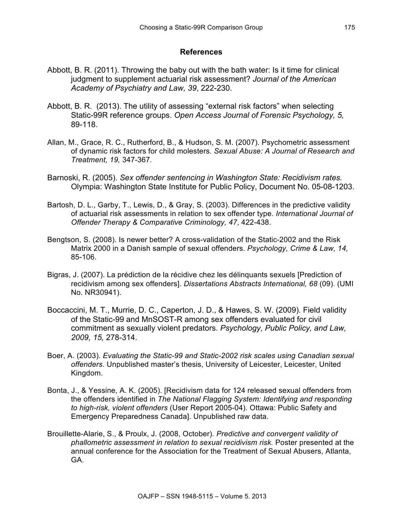#### **References**

- Abbott, B. R. (2011). Throwing the baby out with the bath water: Is it time for clinical judgment to supplement actuarial risk assessment? *Journal of the American Academy of Psychiatry and Law, 39*, 222-230.
- Abbott, B. R. (2013). The utility of assessing "external risk factors" when selecting Static-99R reference groups. *Open Access Journal of Forensic Psychology, 5,* 89-118.
- Allan, M., Grace, R. C., Rutherford, B., & Hudson, S. M. (2007). Psychometric assessment of dynamic risk factors for child molesters. *Sexual Abuse: A Journal of Research and Treatment, 19,* 347-367*.*
- Barnoski, R. (2005). *Sex offender sentencing in Washington State: Recidivism rates.* Olympia: Washington State Institute for Public Policy, Document No. 05-08-1203.
- Bartosh, D. L., Garby, T., Lewis, D., & Gray, S. (2003). Differences in the predictive validity of actuarial risk assessments in relation to sex offender type. *International Journal of Offender Therapy & Comparative Criminology, 47*, 422-438.
- Bengtson, S. (2008). Is newer better? A cross-validation of the Static-2002 and the Risk Matrix 2000 in a Danish sample of sexual offenders. *Psychology, Crime & Law, 14,*  85-106.
- Bigras, J. (2007). La prédiction de la récidive chez les délinquants sexuels [Prediction of recidivism among sex offenders]. *Dissertations Abstracts International, 68* (09). (UMI No. NR30941).
- Boccaccini, M. T., Murrie, D. C., Caperton, J. D., & Hawes, S. W. (2009). Field validity of the Static-99 and MnSOST-R among sex offenders evaluated for civil commitment as sexually violent predators. *Psychology, Public Policy, and Law, 2009, 15,* 278-314.
- Boer, A. (2003). *Evaluating the Static-99 and Static-2002 risk scales using Canadian sexual offenders*. Unpublished master's thesis, University of Leicester, Leicester, United Kingdom.
- Bonta, J., & Yessine, A. K. (2005). [Recidivism data for 124 released sexual offenders from the offenders identified in *The National Flagging System: Identifying and responding to high-risk, violent offenders* (User Report 2005-04). Ottawa: Public Safety and Emergency Preparedness Canada]. Unpublished raw data.
- Brouillette-Alarie, S., & Proulx, J. (2008, October). *Predictive and convergent validity of phallometric assessment in relation to sexual recidivism risk.* Poster presented at the annual conference for the Association for the Treatment of Sexual Abusers, Atlanta, GA.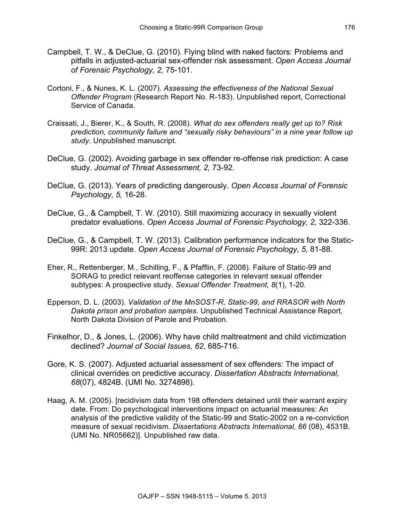- Campbell, T. W., & DeClue, G. (2010). Flying blind with naked factors: Problems and pitfalls in adjusted-actuarial sex-offender risk assessment. *Open Access Journal of Forensic Psychology, 2,* 75-101.
- Cortoni, F., & Nunes, K. L. (2007). *Assessing the effectiveness of the National Sexual Offender Program* (Research Report No. R-183). Unpublished report, Correctional Service of Canada.
- Craissati, J., Bierer, K., & South, R. (2008). *What do sex offenders really get up to? Risk prediction, community failure and "sexually risky behaviours" in a nine year follow up study.* Unpublished manuscript.
- DeClue, G. (2002). Avoiding garbage in sex offender re-offense risk prediction: A case study. *Journal of Threat Assessment, 2,* 73-92.
- DeClue, G. (2013). Years of predicting dangerously. *Open Access Journal of Forensic Psychology, 5,* 16-28.
- DeClue, G., & Campbell, T. W. (2010). Still maximizing accuracy in sexually violent predator evaluations. *Open Access Journal of Forensic Psychology, 2,* 322-336.
- DeClue, G., & Campbell, T. W. (2013). Calibration performance indicators for the Static-99R: 2013 update. *Open Access Journal of Forensic Psychology, 5,* 81-88.
- Eher, R., Rettenberger, M., Schilling, F., & Pfafflin, F. (2008). Failure of Static-99 and SORAG to predict relevant reoffense categories in relevant sexual offender subtypes: A prospective study. *Sexual Offender Treatment, 8*(1), 1-20.
- Epperson, D. L. (2003). *Validation of the MnSOST-R, Static-99, and RRASOR with North Dakota prison and probation samples*. Unpublished Technical Assistance Report, North Dakota Division of Parole and Probation.
- Finkelhor, D., & Jones, L. (2006). Why have child maltreatment and child victimization declined? *Journal of Social Issues, 62*, 685-716.
- Gore, K. S. (2007). Adjusted actuarial assessment of sex offenders: The impact of clinical overrides on predictive accuracy. *Dissertation Abstracts International, 68*(07), 4824B. (UMI No. 3274898).
- Haag, A. M. (2005). [recidivism data from 198 offenders detained until their warrant expiry date. From: Do psychological interventions impact on actuarial measures: An analysis of the predictive validity of the Static-99 and Static-2002 on a re-conviction measure of sexual recidivism*. Dissertations Abstracts International, 66* (08), 4531B. (UMI No. NR05662)]. Unpublished raw data.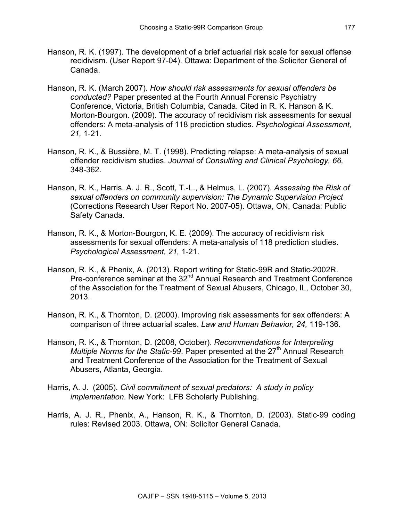- Hanson, R. K. (1997). The development of a brief actuarial risk scale for sexual offense recidivism. (User Report 97-04). Ottawa: Department of the Solicitor General of Canada.
- Hanson, R. K. (March 2007). *How should risk assessments for sexual offenders be conducted?* Paper presented at the Fourth Annual Forensic Psychiatry Conference, Victoria, British Columbia, Canada. Cited in R. K. Hanson & K. Morton-Bourgon. (2009). The accuracy of recidivism risk assessments for sexual offenders: A meta-analysis of 118 prediction studies. *Psychological Assessment, 21,* 1-21.
- Hanson, R. K., & Bussière, M. T. (1998). Predicting relapse: A meta-analysis of sexual offender recidivism studies. *Journal of Consulting and Clinical Psychology, 66,* 348-362.
- Hanson, R. K., Harris, A. J. R., Scott, T.-L., & Helmus, L. (2007). *Assessing the Risk of sexual offenders on community supervision: The Dynamic Supervision Project* (Corrections Research User Report No. 2007-05). Ottawa, ON, Canada: Public Safety Canada.
- Hanson, R. K., & Morton-Bourgon, K. E. (2009). The accuracy of recidivism risk assessments for sexual offenders: A meta-analysis of 118 prediction studies. *Psychological Assessment, 21,* 1-21.
- Hanson, R. K., & Phenix, A. (2013). Report writing for Static-99R and Static-2002R. Pre-conference seminar at the 32<sup>nd</sup> Annual Research and Treatment Conference of the Association for the Treatment of Sexual Abusers, Chicago, IL, October 30, 2013.
- Hanson, R. K., & Thornton, D. (2000). Improving risk assessments for sex offenders: A comparison of three actuarial scales. *Law and Human Behavior, 24,* 119-136.
- Hanson, R. K., & Thornton, D. (2008, October). *Recommendations for Interpreting Multiple Norms for the Static-99. Paper presented at the 27<sup>th</sup> Annual Research* and Treatment Conference of the Association for the Treatment of Sexual Abusers, Atlanta, Georgia.
- Harris, A. J. (2005). *Civil commitment of sexual predators: A study in policy implementation*. New York: LFB Scholarly Publishing.
- Harris, A. J. R., Phenix, A., Hanson, R. K., & Thornton, D. (2003). Static-99 coding rules: Revised 2003. Ottawa, ON: Solicitor General Canada.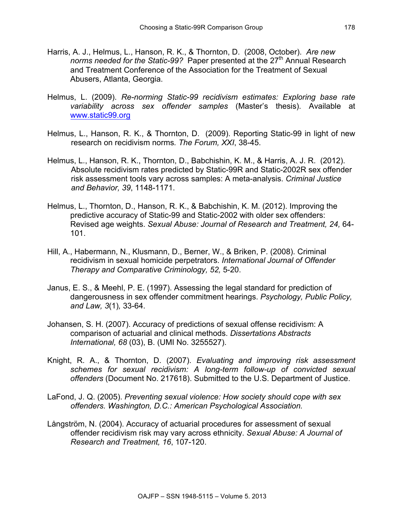- Harris, A. J., Helmus, L., Hanson, R. K., & Thornton, D. (2008, October). *Are new norms needed for the Static-99?* Paper presented at the 27<sup>th</sup> Annual Research and Treatment Conference of the Association for the Treatment of Sexual Abusers, Atlanta, Georgia.
- Helmus, L. (2009). *Re-norming Static-99 recidivism estimates: Exploring base rate variability across sex offender samples* (Master's thesis). Available at www.static99.org
- Helmus, L., Hanson, R. K., & Thornton, D. (2009). Reporting Static-99 in light of new research on recidivism norms*. The Forum, XXI*, 38-45.
- Helmus, L., Hanson, R. K., Thornton, D., Babchishin, K. M., & Harris, A. J. R. (2012). Absolute recidivism rates predicted by Static-99R and Static-2002R sex offender risk assessment tools vary across samples: A meta-analysis. *Criminal Justice and Behavior, 39*, 1148-1171.
- Helmus, L., Thornton, D., Hanson, R. K., & Babchishin, K. M. (2012). Improving the predictive accuracy of Static-99 and Static-2002 with older sex offenders: Revised age weights. *Sexual Abuse: Journal of Research and Treatment, 24,* 64- 101.
- Hill, A., Habermann, N., Klusmann, D., Berner, W., & Briken, P. (2008). Criminal recidivism in sexual homicide perpetrators. *International Journal of Offender Therapy and Comparative Criminology, 52,* 5-20.
- Janus, E. S., & Meehl, P. E. (1997). Assessing the legal standard for prediction of dangerousness in sex offender commitment hearings. *Psychology, Public Policy, and Law, 3*(1)*,* 33-64.
- Johansen, S. H. (2007). Accuracy of predictions of sexual offense recidivism: A comparison of actuarial and clinical methods. *Dissertations Abstracts International, 68* (03), B. (UMI No. 3255527).
- Knight, R. A., & Thornton, D. (2007). *Evaluating and improving risk assessment schemes for sexual recidivism: A long-term follow-up of convicted sexual offenders* (Document No. 217618). Submitted to the U.S. Department of Justice.
- LaFond, J. Q. (2005). *Preventing sexual violence: How society should cope with sex offenders. Washington, D.C.: American Psychological Association.*
- Långström, N. (2004). Accuracy of actuarial procedures for assessment of sexual offender recidivism risk may vary across ethnicity. *Sexual Abuse: A Journal of Research and Treatment, 16*, 107-120.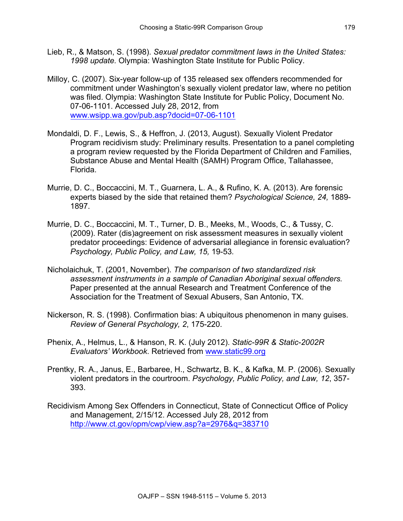- Lieb, R., & Matson, S. (1998). *Sexual predator commitment laws in the United States: 1998 update.* Olympia: Washington State Institute for Public Policy.
- Milloy, C. (2007). Six-year follow-up of 135 released sex offenders recommended for commitment under Washington's sexually violent predator law, where no petition was filed. Olympia: Washington State Institute for Public Policy, Document No. 07-06-1101. Accessed July 28, 2012, from [www.wsipp.wa.gov/pub.asp?docid=07-06-1101](http://www.wsipp.wa.gov/pub.asp?docid=07-06-1101)
- Mondaldi, D. F., Lewis, S., & Heffron, J. (2013, August). Sexually Violent Predator Program recidivism study: Preliminary results. Presentation to a panel completing a program review requested by the Florida Department of Children and Families, Substance Abuse and Mental Health (SAMH) Program Office, Tallahassee, Florida.
- Murrie, D. C., Boccaccini, M. T., Guarnera, L. A., & Rufino, K. A. (2013). Are forensic experts biased by the side that retained them? *Psychological Science, 24,* 1889- 1897.
- Murrie, D. C., Boccaccini, M. T., Turner, D. B., Meeks, M., Woods, C., & Tussy, C. (2009). Rater (dis)agreement on risk assessment measures in sexually violent predator proceedings: Evidence of adversarial allegiance in forensic evaluation? *Psychology, Public Policy, and Law, 15,* 19-53*.*
- Nicholaichuk, T. (2001, November). *The comparison of two standardized risk assessment instruments in a sample of Canadian Aboriginal sexual offenders.*  Paper presented at the annual Research and Treatment Conference of the Association for the Treatment of Sexual Abusers, San Antonio, TX.
- Nickerson, R. S. (1998). Confirmation bias: A ubiquitous phenomenon in many guises. *Review of General Psychology, 2*, 175-220.
- Phenix, A., Helmus, L., & Hanson, R. K. (July 2012). *Static-99R & Static-2002R Evaluators' Workbook*. Retrieved from [www.static99.org](http://www.static99.org)
- Prentky, R. A., Janus, E., Barbaree, H., Schwartz, B. K., & Kafka, M. P. (2006). Sexually violent predators in the courtroom. *Psychology, Public Policy, and Law, 12*, 357- 393.
- Recidivism Among Sex Offenders in Connecticut, State of Connecticut Office of Policy and Management, 2/15/12. Accessed July 28, 2012 from <http://www.ct.gov/opm/cwp/view.asp?a=2976&q=383710>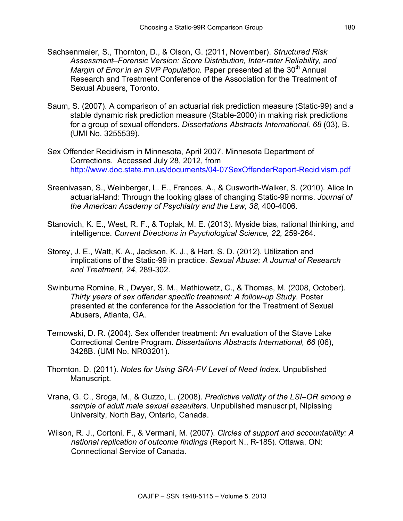- Sachsenmaier, S., Thornton, D., & Olson, G. (2011, November). *Structured Risk Assessment–Forensic Version: Score Distribution, Inter-rater Reliability, and Margin of Error in an SVP Population.* Paper presented at the 30<sup>th</sup> Annual Research and Treatment Conference of the Association for the Treatment of Sexual Abusers, Toronto.
- Saum, S. (2007). A comparison of an actuarial risk prediction measure (Static-99) and a stable dynamic risk prediction measure (Stable-2000) in making risk predictions for a group of sexual offenders. *Dissertations Abstracts International, 68* (03), B. (UMI No. 3255539).
- Sex Offender Recidivism in Minnesota, April 2007. Minnesota Department of Corrections. Accessed July 28, 2012, from <http://www.doc.state.mn.us/documents/04-07SexOffenderReport-Recidivism.pdf>
- Sreenivasan, S., Weinberger, L. E., Frances, A., & Cusworth-Walker, S. (2010). Alice In actuarial-land: Through the looking glass of changing Static-99 norms. *Journal of the American Academy of Psychiatry and the Law, 38*, 400-4006.
- Stanovich, K. E., West, R. F., & Toplak, M. E. (2013). Myside bias, rational thinking, and intelligence. *Current Directions in Psychological Science, 22,* 259-264.
- Storey, J. E., Watt, K. A., Jackson, K. J., & Hart, S. D. (2012). Utilization and implications of the Static-99 in practice. *Sexual Abuse: A Journal of Research and Treatment*, *24*, 289-302.
- Swinburne Romine, R., Dwyer, S. M., Mathiowetz, C., & Thomas, M. (2008, October). *Thirty years of sex offender specific treatment: A follow-up Study*. Poster presented at the conference for the Association for the Treatment of Sexual Abusers, Atlanta, GA.
- Ternowski, D. R. (2004). Sex offender treatment: An evaluation of the Stave Lake Correctional Centre Program. *Dissertations Abstracts International, 66* (06), 3428B. (UMI No. NR03201).
- Thornton, D. (2011). *Notes for Using SRA-FV Level of Need Index*. Unpublished Manuscript.
- Vrana, G. C., Sroga, M., & Guzzo, L. (2008). *Predictive validity of the LSI–OR among a sample of adult male sexual assaulters.* Unpublished manuscript, Nipissing University, North Bay, Ontario, Canada.
- Wilson, R. J., Cortoni, F., & Vermani, M. (2007). *Circles of support and accountability: A national replication of outcome findings* (Report N., R-185). Ottawa, ON: Connectional Service of Canada.